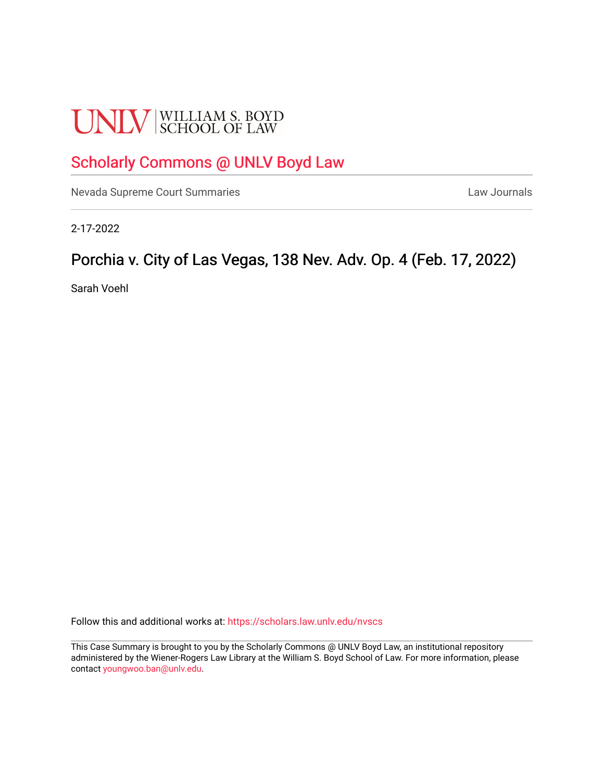# **UNLV** SCHOOL OF LAW

# [Scholarly Commons @ UNLV Boyd Law](https://scholars.law.unlv.edu/)

[Nevada Supreme Court Summaries](https://scholars.law.unlv.edu/nvscs) **Law Journals** Law Journals

2-17-2022

# Porchia v. City of Las Vegas, 138 Nev. Adv. Op. 4 (Feb. 17, 2022)

Sarah Voehl

Follow this and additional works at: [https://scholars.law.unlv.edu/nvscs](https://scholars.law.unlv.edu/nvscs?utm_source=scholars.law.unlv.edu%2Fnvscs%2F1483&utm_medium=PDF&utm_campaign=PDFCoverPages)

This Case Summary is brought to you by the Scholarly Commons @ UNLV Boyd Law, an institutional repository administered by the Wiener-Rogers Law Library at the William S. Boyd School of Law. For more information, please contact [youngwoo.ban@unlv.edu](mailto:youngwoo.ban@unlv.edu).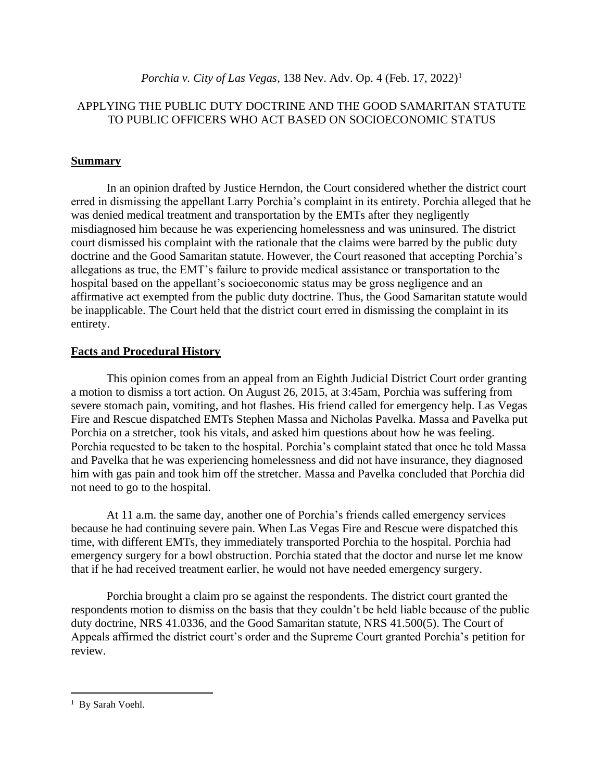*Porchia v. City of Las Vegas*, 138 Nev. Adv. Op. 4 (Feb. 17, 2022) 1

# APPLYING THE PUBLIC DUTY DOCTRINE AND THE GOOD SAMARITAN STATUTE TO PUBLIC OFFICERS WHO ACT BASED ON SOCIOECONOMIC STATUS

## **Summary**

In an opinion drafted by Justice Herndon, the Court considered whether the district court erred in dismissing the appellant Larry Porchia's complaint in its entirety. Porchia alleged that he was denied medical treatment and transportation by the EMTs after they negligently misdiagnosed him because he was experiencing homelessness and was uninsured. The district court dismissed his complaint with the rationale that the claims were barred by the public duty doctrine and the Good Samaritan statute. However, the Court reasoned that accepting Porchia's allegations as true, the EMT's failure to provide medical assistance or transportation to the hospital based on the appellant's socioeconomic status may be gross negligence and an affirmative act exempted from the public duty doctrine. Thus, the Good Samaritan statute would be inapplicable. The Court held that the district court erred in dismissing the complaint in its entirety.

### **Facts and Procedural History**

This opinion comes from an appeal from an Eighth Judicial District Court order granting a motion to dismiss a tort action. On August 26, 2015, at 3:45am, Porchia was suffering from severe stomach pain, vomiting, and hot flashes. His friend called for emergency help. Las Vegas Fire and Rescue dispatched EMTs Stephen Massa and Nicholas Pavelka. Massa and Pavelka put Porchia on a stretcher, took his vitals, and asked him questions about how he was feeling. Porchia requested to be taken to the hospital. Porchia's complaint stated that once he told Massa and Pavelka that he was experiencing homelessness and did not have insurance, they diagnosed him with gas pain and took him off the stretcher. Massa and Pavelka concluded that Porchia did not need to go to the hospital.

At 11 a.m. the same day, another one of Porchia's friends called emergency services because he had continuing severe pain. When Las Vegas Fire and Rescue were dispatched this time, with different EMTs, they immediately transported Porchia to the hospital. Porchia had emergency surgery for a bowl obstruction. Porchia stated that the doctor and nurse let me know that if he had received treatment earlier, he would not have needed emergency surgery.

Porchia brought a claim pro se against the respondents. The district court granted the respondents motion to dismiss on the basis that they couldn't be held liable because of the public duty doctrine, NRS 41.0336, and the Good Samaritan statute, NRS 41.500(5). The Court of Appeals affirmed the district court's order and the Supreme Court granted Porchia's petition for review.

<sup>&</sup>lt;sup>1</sup> By Sarah Voehl.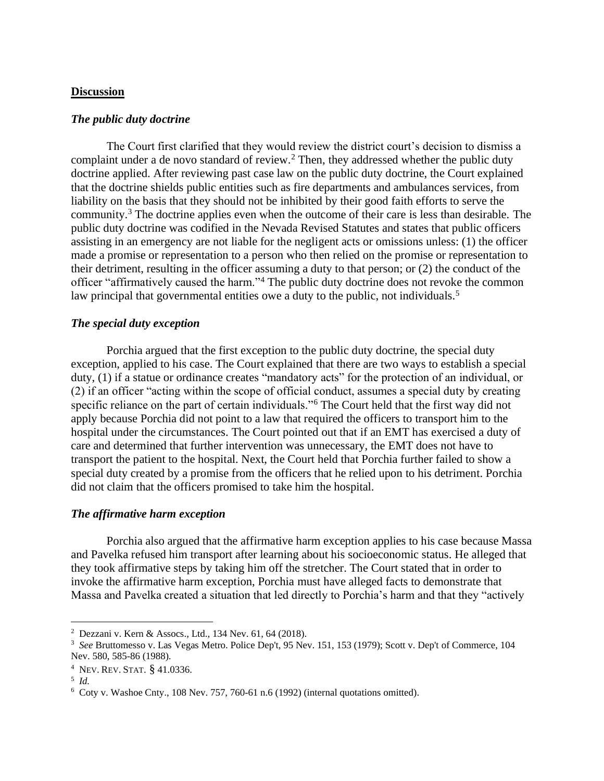#### **Discussion**

#### *The public duty doctrine*

The Court first clarified that they would review the district court's decision to dismiss a complaint under a de novo standard of review.<sup>2</sup> Then, they addressed whether the public duty doctrine applied. After reviewing past case law on the public duty doctrine, the Court explained that the doctrine shields public entities such as fire departments and ambulances services, from liability on the basis that they should not be inhibited by their good faith efforts to serve the community.<sup>3</sup> The doctrine applies even when the outcome of their care is less than desirable. The public duty doctrine was codified in the Nevada Revised Statutes and states that public officers assisting in an emergency are not liable for the negligent acts or omissions unless: (1) the officer made a promise or representation to a person who then relied on the promise or representation to their detriment, resulting in the officer assuming a duty to that person; or (2) the conduct of the officer "affirmatively caused the harm."<sup>4</sup> The public duty doctrine does not revoke the common law principal that governmental entities owe a duty to the public, not individuals.<sup>5</sup>

#### *The special duty exception*

Porchia argued that the first exception to the public duty doctrine, the special duty exception, applied to his case. The Court explained that there are two ways to establish a special duty, (1) if a statue or ordinance creates "mandatory acts" for the protection of an individual, or (2) if an officer "acting within the scope of official conduct, assumes a special duty by creating specific reliance on the part of certain individuals."<sup>6</sup> The Court held that the first way did not apply because Porchia did not point to a law that required the officers to transport him to the hospital under the circumstances. The Court pointed out that if an EMT has exercised a duty of care and determined that further intervention was unnecessary, the EMT does not have to transport the patient to the hospital. Next, the Court held that Porchia further failed to show a special duty created by a promise from the officers that he relied upon to his detriment. Porchia did not claim that the officers promised to take him the hospital.

#### *The affirmative harm exception*

Porchia also argued that the affirmative harm exception applies to his case because Massa and Pavelka refused him transport after learning about his socioeconomic status. He alleged that they took affirmative steps by taking him off the stretcher. The Court stated that in order to invoke the affirmative harm exception, Porchia must have alleged facts to demonstrate that Massa and Pavelka created a situation that led directly to Porchia's harm and that they "actively

<sup>2</sup> Dezzani v. Kern & Assocs., Ltd., 134 Nev. 61, 64 (2018).

<sup>3</sup> *See* Bruttomesso v. Las Vegas Metro. Police Dep't, 95 Nev. 151, 153 (1979); Scott v. Dep't of Commerce, 104 Nev. 580, 585-86 (1988).

<sup>4</sup> NEV. REV.STAT. § 41.0336.

<sup>5</sup> *Id.*

<sup>&</sup>lt;sup>6</sup> Coty v. Washoe Cnty., 108 Nev. 757, 760-61 n.6 (1992) (internal quotations omitted).